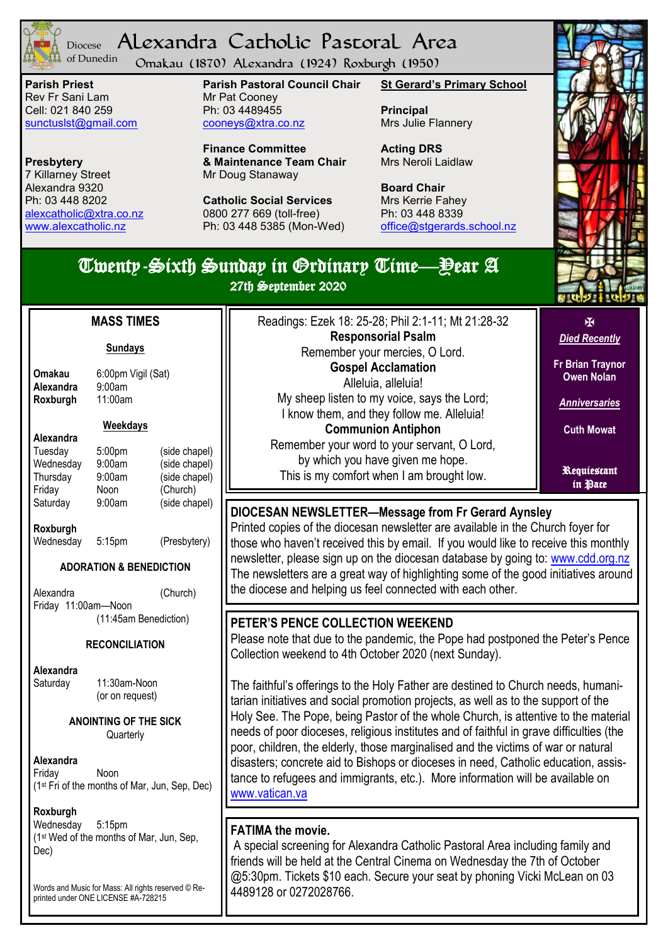

#### Alexandra Catholic Pastoral Area Diocese of Dunedin

Omakau (1870) Alexandra (1924) Roxburgh (1950)

**Parish Priest** Rev Fr Sani Lam Cell: 021 840 259 [sunctuslst@gmail.com](mailto:mailto:sunctuslst@gmail.com)

**Presbytery** 7 Killarney Street Alexandra 9320 Ph: 03 448 8202 [alexcatholic@xtra.co.nz](mailto:mailto:alexcatholic@xtra.co.nz) www.alexcatholic.nz

**Alexandra** 9:00am<br>**Roxburgh** 11:00am

**Roxburgh** 

**Alexandra**

**Roxburgh**

**Alexandra**

Friday 11:00am—Noon

Saturday 11:30am-Noon

**Sundays**

**Weekdays**

#### **Parish Pastoral Council Chair** Mr Pat Cooney Ph: 03 4489455 cooneys@xtra.co.nz

**Finance Committee & Maintenance Team Chair** Mr Doug Stanaway

**Catholic Social Services**  0800 277 669 (toll-free) Ph: 03 448 5385 (Mon-Wed) **St Gerard's Primary School**

**Principal** Mrs Julie Flannery

**Acting DRS** Mrs Neroli Laidlaw

**Board Chair** Mrs Kerrie Fahey Ph: 03 448 8339 [office@stgerards.school.nz](mailto:mailto:office@stgerards.school.nz)

### *Died Recently* Twenty-Sixth Sunday in Ordinary Time—Year A 27th September 2020 l Readings: Ezek 18: 25-28; Phil 2:1-11; Mt 21:28-32 **Responsorial Psalm** Remember your mercies, O Lord. **Gospel Acclamation** Alleluia, alleluia! My sheep listen to my voice, says the Lord; I know them, and they follow me. Alleluia! **Communion Antiphon** Remember your word to your servant, O Lord, by which you have given me hope. This is my comfort when I am brought low. **MASS TIMES Omakau** 6:00pm Vigil (Sat)<br>**Alexandra** 9:00am Tuesday 5:00pm (side chapel) Wednesday 9:00am (side chapel)  $(side \text{ change})$ Friday Noon (Church) Saturday 9:00am (side chapel) Wednesday 5:15pm (Presbytery) **ADORATION & BENEDICTION**  Alexandra (Church) (11:45am Benediction) **RECONCILIATION ANOINTING OF THE SICK PETER'S PENCE COLLECTION WEEKEND**  Collection weekend to 4th October 2020 (next Sunday). **DIOCESAN NEWSLETTER—Message from Fr Gerard Aynsley** the diocese and helping us feel connected with each other.

**Quarterly** 

(or on request)

**Alexandra** Friday Noon (1st Fri of the months of Mar, Jun, Sep, Dec)

**Roxburgh**

Wednesday 5:15pm (1st Wed of the months of Mar, Jun, Sep, Dec)

Words and Music for Mass: All rights reserved © Reprinted under ONE LICENSE #A-728215



**Fr Brian Traynor Owen Nolan**

 $\overline{\mathbf{R}}$ 

*Anniversaries*

**Cuth Mowat**

Requiescant in Pace

Printed copies of the diocesan newsletter are available in the Church foyer for those who haven't received this by email. If you would like to receive this monthly newsletter, please sign up on the diocesan database by going to: www.cdd.org.nz The newsletters are a great way of highlighting some of the good initiatives around

Please note that due to the pandemic, the Pope had postponed the Peter's Pence

The faithful's offerings to the Holy Father are destined to Church needs, humanitarian initiatives and social promotion projects, as well as to the support of the Holy See. The Pope, being Pastor of the whole Church, is attentive to the material needs of poor dioceses, religious institutes and of faithful in grave difficulties (the poor, children, the elderly, those marginalised and the victims of war or natural disasters; concrete aid to Bishops or dioceses in need, Catholic education, assistance to refugees and immigrants, etc.). More information will be available on [www.vatican.va](http://www.vatican.va/roman_curia/secretariat_state/obolo_spietro/documents/actual_en.html)

## **FATIMA the movie.**

A special screening for Alexandra Catholic Pastoral Area including family and friends will be held at the Central Cinema on Wednesday the 7th of October @5:30pm. Tickets \$10 each. Secure your seat by phoning Vicki McLean on 03 4489128 or 0272028766.